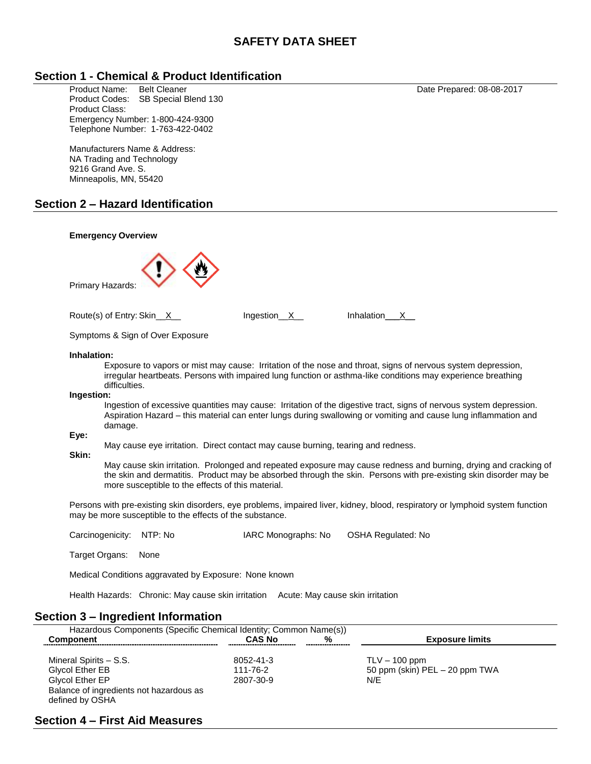# **SAFETY DATA SHEET**

### **Section 1 - Chemical & Product Identification**

Product Name: Belt Cleaner Care Research Art 2017 Date Prepared: 08-08-2017 Product Codes: SB Special Blend 130 Product Class: Emergency Number: 1-800-424-9300 Telephone Number: 1-763-422-0402

Manufacturers Name & Address: NA Trading and Technology 9216 Grand Ave. S. Minneapolis, MN, 55420

### **Section 2 – Hazard Identification**

| <b>Emergency Overview</b>                                                                                                                                                                                                                                                                                                                                                                                                                                                                                                                                                                                                                                                                                                                                                                                                                                                                                                          |
|------------------------------------------------------------------------------------------------------------------------------------------------------------------------------------------------------------------------------------------------------------------------------------------------------------------------------------------------------------------------------------------------------------------------------------------------------------------------------------------------------------------------------------------------------------------------------------------------------------------------------------------------------------------------------------------------------------------------------------------------------------------------------------------------------------------------------------------------------------------------------------------------------------------------------------|
| Primary Hazards:                                                                                                                                                                                                                                                                                                                                                                                                                                                                                                                                                                                                                                                                                                                                                                                                                                                                                                                   |
| Route(s) of Entry: Skin_X_<br>Ingestion <sub>_X_</sub><br>Inhalation____X___                                                                                                                                                                                                                                                                                                                                                                                                                                                                                                                                                                                                                                                                                                                                                                                                                                                       |
| Symptoms & Sign of Over Exposure                                                                                                                                                                                                                                                                                                                                                                                                                                                                                                                                                                                                                                                                                                                                                                                                                                                                                                   |
| Inhalation:<br>Exposure to vapors or mist may cause: Irritation of the nose and throat, signs of nervous system depression,<br>irregular heartbeats. Persons with impaired lung function or asthma-like conditions may experience breathing<br>difficulties.<br>Ingestion:<br>Ingestion of excessive quantities may cause: Irritation of the digestive tract, signs of nervous system depression.<br>Aspiration Hazard - this material can enter lungs during swallowing or vomiting and cause lung inflammation and<br>damage.<br>Eye:<br>May cause eye irritation. Direct contact may cause burning, tearing and redness.<br>Skin:<br>May cause skin irritation. Prolonged and repeated exposure may cause redness and burning, drying and cracking of<br>the skin and dermatitis. Product may be absorbed through the skin. Persons with pre-existing skin disorder may be<br>more susceptible to the effects of this material. |
| Persons with pre-existing skin disorders, eye problems, impaired liver, kidney, blood, respiratory or lymphoid system function<br>may be more susceptible to the effects of the substance.                                                                                                                                                                                                                                                                                                                                                                                                                                                                                                                                                                                                                                                                                                                                         |
| Carcinogenicity:<br>NTP: No<br>IARC Monographs: No<br>OSHA Regulated: No                                                                                                                                                                                                                                                                                                                                                                                                                                                                                                                                                                                                                                                                                                                                                                                                                                                           |
| Target Organs:<br>None                                                                                                                                                                                                                                                                                                                                                                                                                                                                                                                                                                                                                                                                                                                                                                                                                                                                                                             |
| Medical Conditions aggravated by Exposure: None known                                                                                                                                                                                                                                                                                                                                                                                                                                                                                                                                                                                                                                                                                                                                                                                                                                                                              |

Health Hazards: Chronic: May cause skin irritation Acute: May cause skin irritation

### **Section 3 – Ingredient Information**

| Hazardous Components (Specific Chemical Identity; Common Name(s))                                                                 |                                    |   |                                                            |
|-----------------------------------------------------------------------------------------------------------------------------------|------------------------------------|---|------------------------------------------------------------|
| <b>Component</b>                                                                                                                  | <b>CAS No</b>                      | % | <b>Exposure limits</b>                                     |
| Mineral Spirits - S.S.<br><b>Glycol Ether EB</b><br>Glycol Ether EP<br>Balance of ingredients not hazardous as<br>defined by OSHA | 8052-41-3<br>111-76-2<br>2807-30-9 |   | $TLV - 100$ ppm<br>50 ppm (skin) $PEL - 20$ ppm TWA<br>N/E |

## **Section 4 – First Aid Measures**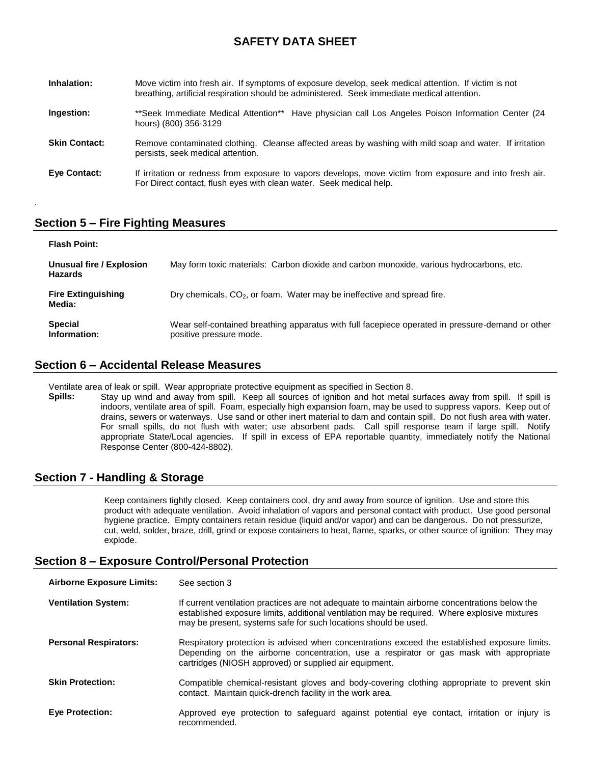# **SAFETY DATA SHEET**

| Inhalation:          | Move victim into fresh air. If symptoms of exposure develop, seek medical attention. If victim is not<br>breathing, artificial respiration should be administered. Seek immediate medical attention. |
|----------------------|------------------------------------------------------------------------------------------------------------------------------------------------------------------------------------------------------|
| Ingestion:           | **Seek Immediate Medical Attention** Have physician call Los Angeles Poison Information Center (24<br>hours) (800) 356-3129                                                                          |
| <b>Skin Contact:</b> | Remove contaminated clothing. Cleanse affected areas by washing with mild soap and water. If irritation<br>persists, seek medical attention.                                                         |
| Eye Contact:         | If irritation or redness from exposure to vapors develops, move victim from exposure and into fresh air.<br>For Direct contact, flush eyes with clean water. Seek medical help.                      |

# **Section 5 – Fire Fighting Measures**

.

| <b>Flash Point:</b>                        |                                                                                                                             |
|--------------------------------------------|-----------------------------------------------------------------------------------------------------------------------------|
| Unusual fire / Explosion<br><b>Hazards</b> | May form toxic materials: Carbon dioxide and carbon monoxide, various hydrocarbons, etc.                                    |
| <b>Fire Extinguishing</b><br>Media:        | Dry chemicals, CO <sub>2</sub> , or foam. Water may be ineffective and spread fire.                                         |
| <b>Special</b><br>Information:             | Wear self-contained breathing apparatus with full facepiece operated in pressure-demand or other<br>positive pressure mode. |

### **Section 6 – Accidental Release Measures**

Ventilate area of leak or spill. Wear appropriate protective equipment as specified in Section 8.

**Spills:** Stay up wind and away from spill. Keep all sources of ignition and hot metal surfaces away from spill. If spill is indoors, ventilate area of spill. Foam, especially high expansion foam, may be used to suppress vapors. Keep out of drains, sewers or waterways. Use sand or other inert material to dam and contain spill. Do not flush area with water. For small spills, do not flush with water; use absorbent pads. Call spill response team if large spill. Notify appropriate State/Local agencies. If spill in excess of EPA reportable quantity, immediately notify the National Response Center (800-424-8802).

### **Section 7 - Handling & Storage**

Keep containers tightly closed. Keep containers cool, dry and away from source of ignition. Use and store this product with adequate ventilation. Avoid inhalation of vapors and personal contact with product. Use good personal hygiene practice. Empty containers retain residue (liquid and/or vapor) and can be dangerous. Do not pressurize, cut, weld, solder, braze, drill, grind or expose containers to heat, flame, sparks, or other source of ignition: They may explode.

### **Section 8 – Exposure Control/Personal Protection**

| <b>Airborne Exposure Limits:</b> | See section 3                                                                                                                                                                                                                                                       |
|----------------------------------|---------------------------------------------------------------------------------------------------------------------------------------------------------------------------------------------------------------------------------------------------------------------|
| <b>Ventilation System:</b>       | If current ventilation practices are not adequate to maintain airborne concentrations below the<br>established exposure limits, additional ventilation may be required. Where explosive mixtures<br>may be present, systems safe for such locations should be used. |
| <b>Personal Respirators:</b>     | Respiratory protection is advised when concentrations exceed the established exposure limits.<br>Depending on the airborne concentration, use a respirator or gas mask with appropriate<br>cartridges (NIOSH approved) or supplied air equipment.                   |
| <b>Skin Protection:</b>          | Compatible chemical-resistant gloves and body-covering clothing appropriate to prevent skin<br>contact. Maintain quick-drench facility in the work area.                                                                                                            |
| <b>Eye Protection:</b>           | Approved eye protection to safeguard against potential eye contact, irritation or injury is<br>recommended.                                                                                                                                                         |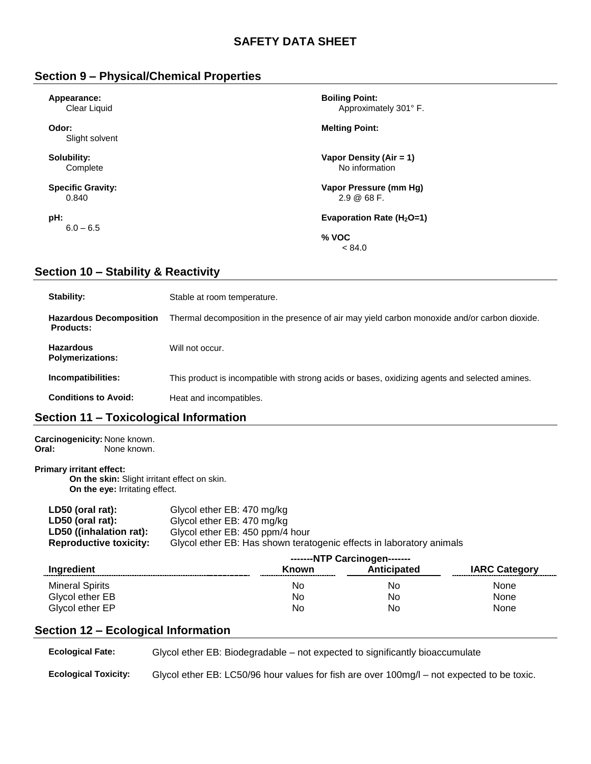# **Section 9 – Physical/Chemical Properties**

| Appearance:              | <b>Boiling Point:</b>         |  |  |
|--------------------------|-------------------------------|--|--|
| Clear Liquid             | Approximately 301° F.         |  |  |
| Odor:<br>Slight solvent  | <b>Melting Point:</b>         |  |  |
| Solubility:              | Vapor Density (Air = 1)       |  |  |
| Complete                 | No information                |  |  |
| <b>Specific Gravity:</b> | Vapor Pressure (mm Hg)        |  |  |
| 0.840                    | $2.9 \& 68 F.$                |  |  |
| pH:                      | Evaporation Rate ( $H_2O=1$ ) |  |  |
| $6.0 - 6.5$              | $%$ VOC<br>< 84.0             |  |  |

# **Section 10 – Stability & Reactivity**

| Stability:                                         | Stable at room temperature.                                                                    |
|----------------------------------------------------|------------------------------------------------------------------------------------------------|
| <b>Hazardous Decomposition</b><br><b>Products:</b> | Thermal decomposition in the presence of air may yield carbon monoxide and/or carbon dioxide.  |
| <b>Hazardous</b><br><b>Polymerizations:</b>        | Will not occur.                                                                                |
| Incompatibilities:                                 | This product is incompatible with strong acids or bases, oxidizing agents and selected amines. |
| <b>Conditions to Avoid:</b>                        | Heat and incompatibles.                                                                        |

# **Section 11 – Toxicological Information**

**Carcinogenicity: None known.**<br>**Oral:** None known. None known.

#### **Primary irritant effect:**

**On the skin:** Slight irritant effect on skin. **On the eye:** Irritating effect.

| Glycol ether EB: 470 mg/kg                                           |
|----------------------------------------------------------------------|
| Glycol ether EB: 470 mg/kg                                           |
| Glycol ether EB: 450 ppm/4 hour                                      |
| Glycol ether EB: Has shown teratogenic effects in laboratory animals |
|                                                                      |

|                        |       | -------NTP Carcinogen------- |                      |
|------------------------|-------|------------------------------|----------------------|
| <b>Ingredient</b>      | Known | <b>Anticipated</b>           | <b>IARC Category</b> |
| <b>Mineral Spirits</b> | No    | No                           | <b>None</b>          |
| Glycol ether EB        | No    | No                           | None                 |
| Glycol ether EP        | No    | No                           | None                 |

# **Section 12 – Ecological Information**

| <b>Ecological Fate:</b>     | Glycol ether EB: Biodegradable – not expected to significantly bioaccumulate               |
|-----------------------------|--------------------------------------------------------------------------------------------|
| <b>Ecological Toxicity:</b> | Glycol ether EB: LC50/96 hour values for fish are over 100mg/l – not expected to be toxic. |